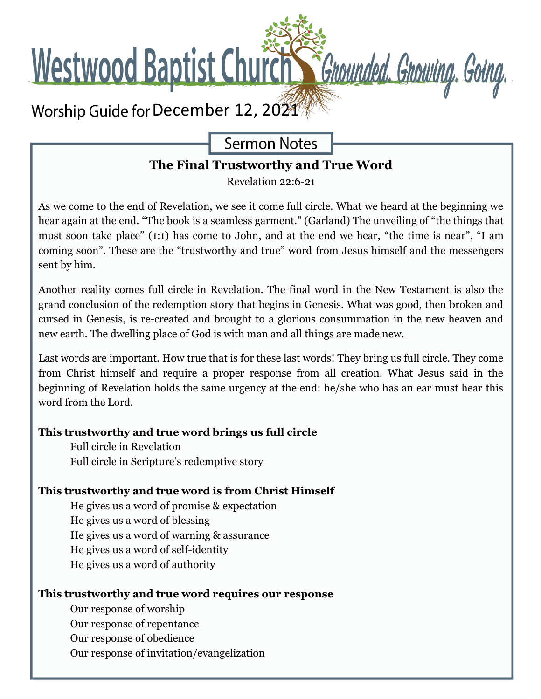

**Sermon Notes** 

## **The Final Trustworthy and True Word**

Revelation 22:6-21

As we come to the end of Revelation, we see it come full circle. What we heard at the beginning we hear again at the end. "The book is a seamless garment." (Garland) The unveiling of "the things that must soon take place" (1:1) has come to John, and at the end we hear, "the time is near", "I am coming soon". These are the "trustworthy and true" word from Jesus himself and the messengers sent by him.

Another reality comes full circle in Revelation. The final word in the New Testament is also the grand conclusion of the redemption story that begins in Genesis. What was good, then broken and cursed in Genesis, is re-created and brought to a glorious consummation in the new heaven and new earth. The dwelling place of God is with man and all things are made new.

Last words are important. How true that is for these last words! They bring us full circle. They come from Christ himself and require a proper response from all creation. What Jesus said in the beginning of Revelation holds the same urgency at the end: he/she who has an ear must hear this word from the Lord.

### **This trustworthy and true word brings us full circle**

Full circle in Revelation Full circle in Scripture's redemptive story

#### **This trustworthy and true word is from Christ Himself**

He gives us a word of promise & expectation He gives us a word of blessing He gives us a word of warning & assurance He gives us a word of self-identity He gives us a word of authority

#### **This trustworthy and true word requires our response**

Our response of worship

Our response of repentance

Our response of obedience

Our response of invitation/evangelization